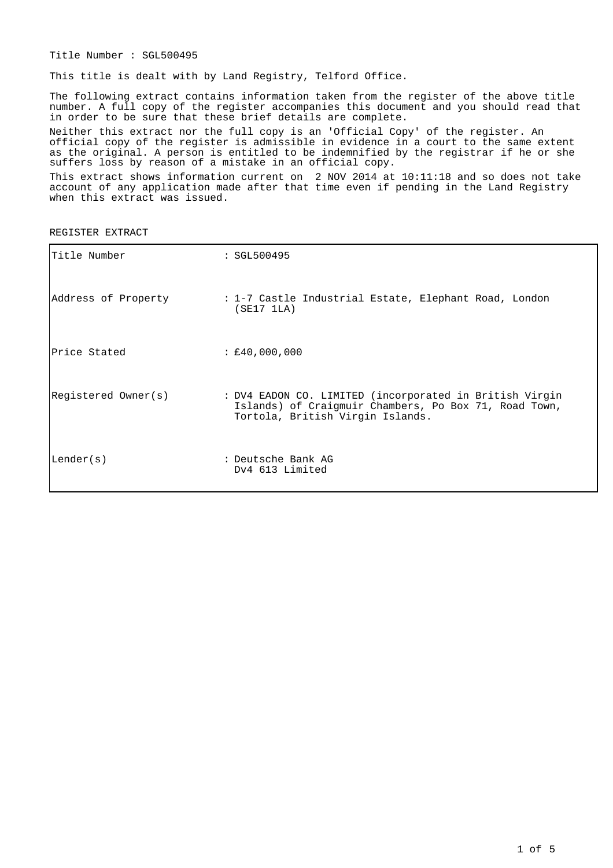Title Number : SGL500495

This title is dealt with by Land Registry, Telford Office.

The following extract contains information taken from the register of the above title number. A full copy of the register accompanies this document and you should read that in order to be sure that these brief details are complete.

Neither this extract nor the full copy is an 'Official Copy' of the register. An official copy of the register is admissible in evidence in a court to the same extent as the original. A person is entitled to be indemnified by the registrar if he or she suffers loss by reason of a mistake in an official copy.

This extract shows information current on 2 NOV 2014 at 10:11:18 and so does not take account of any application made after that time even if pending in the Land Registry when this extract was issued.

REGISTER EXTRACT

| Title Number        | : SGL500495                                                                                                                                          |
|---------------------|------------------------------------------------------------------------------------------------------------------------------------------------------|
| Address of Property | : 1-7 Castle Industrial Estate, Elephant Road, London<br>(SE17 1LA)                                                                                  |
| lPrice Stated       | : £40,000,000                                                                                                                                        |
| Registered Owner(s) | : DV4 EADON CO. LIMITED (incorporated in British Virgin<br>Islands) of Craigmuir Chambers, Po Box 71, Road Town,<br>Tortola, British Virgin Islands. |
| Lender(s)           | : Deutsche Bank AG<br>Dv4 613 Limited                                                                                                                |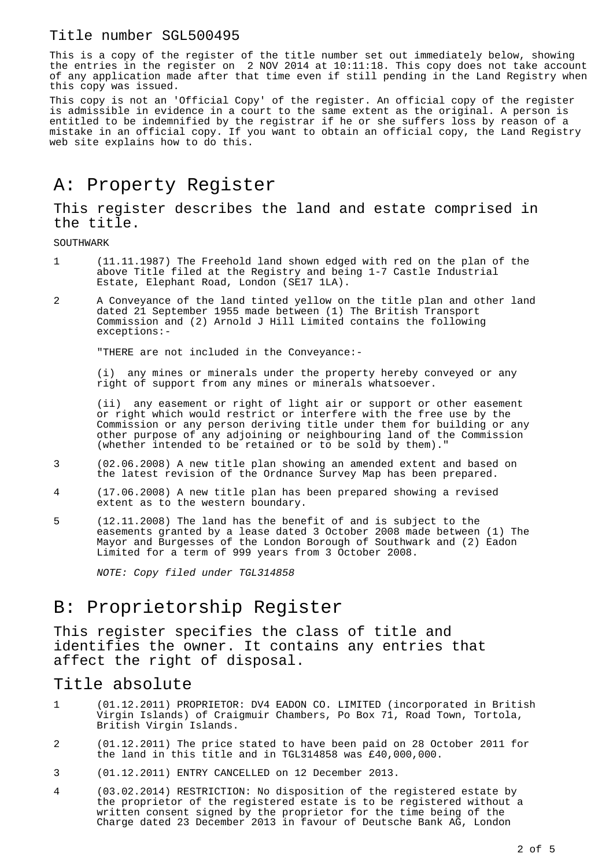#### Title number SGL500495

This is a copy of the register of the title number set out immediately below, showing the entries in the register on 2 NOV 2014 at 10:11:18. This copy does not take account of any application made after that time even if still pending in the Land Registry when this copy was issued.

This copy is not an 'Official Copy' of the register. An official copy of the register is admissible in evidence in a court to the same extent as the original. A person is entitled to be indemnified by the registrar if he or she suffers loss by reason of a mistake in an official copy. If you want to obtain an official copy, the Land Registry web site explains how to do this.

# A: Property Register

This register describes the land and estate comprised in the title.

SOUTHWARK

- 1 (11.11.1987) The Freehold land shown edged with red on the plan of the above Title filed at the Registry and being 1-7 Castle Industrial Estate, Elephant Road, London (SE17 1LA).
- 2 A Conveyance of the land tinted yellow on the title plan and other land dated 21 September 1955 made between (1) The British Transport Commission and (2) Arnold J Hill Limited contains the following exceptions:-

"THERE are not included in the Conveyance:-

(i) any mines or minerals under the property hereby conveyed or any right of support from any mines or minerals whatsoever.

(ii) any easement or right of light air or support or other easement or right which would restrict or interfere with the free use by the Commission or any person deriving title under them for building or any other purpose of any adjoining or neighbouring land of the Commission (whether intended to be retained or to be sold by them)."

- 3 (02.06.2008) A new title plan showing an amended extent and based on the latest revision of the Ordnance Survey Map has been prepared.
- 4 (17.06.2008) A new title plan has been prepared showing a revised extent as to the western boundary.
- 5 (12.11.2008) The land has the benefit of and is subject to the easements granted by a lease dated 3 October 2008 made between (1) The Mayor and Burgesses of the London Borough of Southwark and (2) Eadon Limited for a term of 999 years from 3 October 2008.

NOTE: Copy filed under TGL314858

## B: Proprietorship Register

This register specifies the class of title and identifies the owner. It contains any entries that affect the right of disposal.

#### Title absolute

- 1 (01.12.2011) PROPRIETOR: DV4 EADON CO. LIMITED (incorporated in British Virgin Islands) of Craigmuir Chambers, Po Box 71, Road Town, Tortola, British Virgin Islands.
- 2 (01.12.2011) The price stated to have been paid on 28 October 2011 for the land in this title and in TGL314858 was £40,000,000.
- 3 (01.12.2011) ENTRY CANCELLED on 12 December 2013.
- 4 (03.02.2014) RESTRICTION: No disposition of the registered estate by the proprietor of the registered estate is to be registered without a written consent signed by the proprietor for the time being of the Charge dated 23 December 2013 in favour of Deutsche Bank AG, London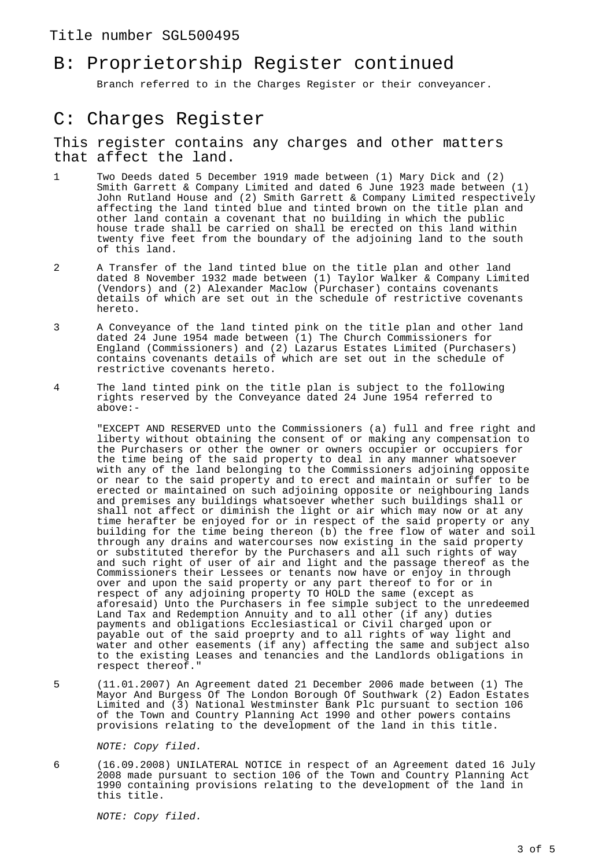#### Title number SGL500495

## B: Proprietorship Register continued

Branch referred to in the Charges Register or their conveyancer.

### C: Charges Register

#### This register contains any charges and other matters that affect the land.

- 1 Two Deeds dated 5 December 1919 made between (1) Mary Dick and (2) Smith Garrett & Company Limited and dated 6 June 1923 made between (1) John Rutland House and (2) Smith Garrett & Company Limited respectively affecting the land tinted blue and tinted brown on the title plan and other land contain a covenant that no building in which the public house trade shall be carried on shall be erected on this land within twenty five feet from the boundary of the adjoining land to the south of this land.
- 2 A Transfer of the land tinted blue on the title plan and other land dated 8 November 1932 made between (1) Taylor Walker & Company Limited (Vendors) and (2) Alexander Maclow (Purchaser) contains covenants details of which are set out in the schedule of restrictive covenants hereto.
- 3 A Conveyance of the land tinted pink on the title plan and other land dated 24 June 1954 made between  $(1)$  The Church Commissioners for England (Commissioners) and (2) Lazarus Estates Limited (Purchasers) contains covenants details of which are set out in the schedule of restrictive covenants hereto.
- 4 The land tinted pink on the title plan is subject to the following rights reserved by the Conveyance dated 24 June 1954 referred to above:-

"EXCEPT AND RESERVED unto the Commissioners (a) full and free right and liberty without obtaining the consent of or making any compensation to the Purchasers or other the owner or owners occupier or occupiers for the time being of the said property to deal in any manner whatsoever with any of the land belonging to the Commissioners adjoining opposite or near to the said property and to erect and maintain or suffer to be erected or maintained on such adjoining opposite or neighbouring lands and premises any buildings whatsoever whether such buildings shall or shall not affect or diminish the light or air which may now or at any time herafter be enjoyed for or in respect of the said property or any building for the time being thereon (b) the free flow of water and soil through any drains and watercourses now existing in the said property or substituted therefor by the Purchasers and all such rights of way and such right of user of air and light and the passage thereof as the Commissioners their Lessees or tenants now have or enjoy in through over and upon the said property or any part thereof to for or in respect of any adjoining property TO HOLD the same (except as aforesaid) Unto the Purchasers in fee simple subject to the unredeemed Land Tax and Redemption Annuity and to all other (if any) duties payments and obligations Ecclesiastical or Civil charged upon or payable out of the said proeprty and to all rights of way light and water and other easements (if any) affecting the same and subject also to the existing Leases and tenancies and the Landlords obligations in respect thereof."

5 (11.01.2007) An Agreement dated 21 December 2006 made between (1) The Mayor And Burgess Of The London Borough Of Southwark (2) Eadon Estates Limited and (3) National Westminster Bank Plc pursuant to section 106 of the Town and Country Planning Act 1990 and other powers contains provisions relating to the development of the land in this title.

NOTE: Copy filed.

6 (16.09.2008) UNILATERAL NOTICE in respect of an Agreement dated 16 July 2008 made pursuant to section 106 of the Town and Country Planning Act 1990 containing provisions relating to the development of the land in this title.

NOTE: Copy filed.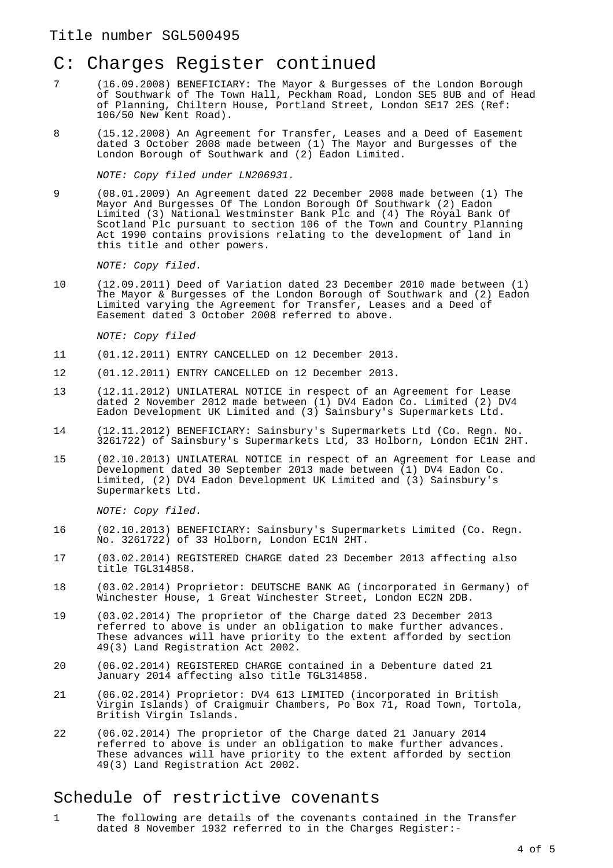### Title number SGL500495

## C: Charges Register continued

- 7 (16.09.2008) BENEFICIARY: The Mayor & Burgesses of the London Borough of Southwark of The Town Hall, Peckham Road, London SE5 8UB and of Head of Planning, Chiltern House, Portland Street, London SE17 2ES (Ref: 106/50 New Kent Road).
- 8 (15.12.2008) An Agreement for Transfer, Leases and a Deed of Easement dated 3 October 2008 made between (1) The Mayor and Burgesses of the London Borough of Southwark and (2) Eadon Limited.

NOTE: Copy filed under LN206931.

9 (08.01.2009) An Agreement dated 22 December 2008 made between (1) The Mayor And Burgesses Of The London Borough Of Southwark (2) Eadon Limited (3) National Westminster Bank Plc and (4) The Royal Bank Of Scotland Plc pursuant to section 106 of the Town and Country Planning Act 1990 contains provisions relating to the development of land in this title and other powers.

NOTE: Copy filed.

10 (12.09.2011) Deed of Variation dated 23 December 2010 made between (1) The Mayor & Burgesses of the London Borough of Southwark and (2) Eadon Limited varying the Agreement for Transfer, Leases and a Deed of Easement dated 3 October 2008 referred to above.

NOTE: Copy filed

- 11 (01.12.2011) ENTRY CANCELLED on 12 December 2013.
- 12 (01.12.2011) ENTRY CANCELLED on 12 December 2013.
- 13 (12.11.2012) UNILATERAL NOTICE in respect of an Agreement for Lease dated 2 November 2012 made between (1) DV4 Eadon Co. Limited (2) DV4 Eadon Development UK Limited and (3) Sainsbury's Supermarkets Ltd.
- 14 (12.11.2012) BENEFICIARY: Sainsbury's Supermarkets Ltd (Co. Regn. No. 3261722) of Sainsbury's Supermarkets Ltd, 33 Holborn, London EC1N 2HT.
- 15 (02.10.2013) UNILATERAL NOTICE in respect of an Agreement for Lease and Development dated 30 September 2013 made between (1) DV4 Eadon Co. Limited, (2) DV4 Eadon Development UK Limited and (3) Sainsbury's Supermarkets Ltd.

NOTE: Copy filed.

- 16 (02.10.2013) BENEFICIARY: Sainsbury's Supermarkets Limited (Co. Regn. No. 3261722) of 33 Holborn, London EC1N 2HT.
- 17 (03.02.2014) REGISTERED CHARGE dated 23 December 2013 affecting also title TGL314858.
- 18 (03.02.2014) Proprietor: DEUTSCHE BANK AG (incorporated in Germany) of Winchester House, 1 Great Winchester Street, London EC2N 2DB.
- 19 (03.02.2014) The proprietor of the Charge dated 23 December 2013 referred to above is under an obligation to make further advances. These advances will have priority to the extent afforded by section 49(3) Land Registration Act 2002.
- 20 (06.02.2014) REGISTERED CHARGE contained in a Debenture dated 21 January 2014 affecting also title TGL314858.
- 21 (06.02.2014) Proprietor: DV4 613 LIMITED (incorporated in British Virgin Islands) of Craigmuir Chambers, Po Box 71, Road Town, Tortola, British Virgin Islands.
- 22 (06.02.2014) The proprietor of the Charge dated 21 January 2014 referred to above is under an obligation to make further advances. These advances will have priority to the extent afforded by section 49(3) Land Registration Act 2002.

### Schedule of restrictive covenants

1 The following are details of the covenants contained in the Transfer dated 8 November 1932 referred to in the Charges Register:-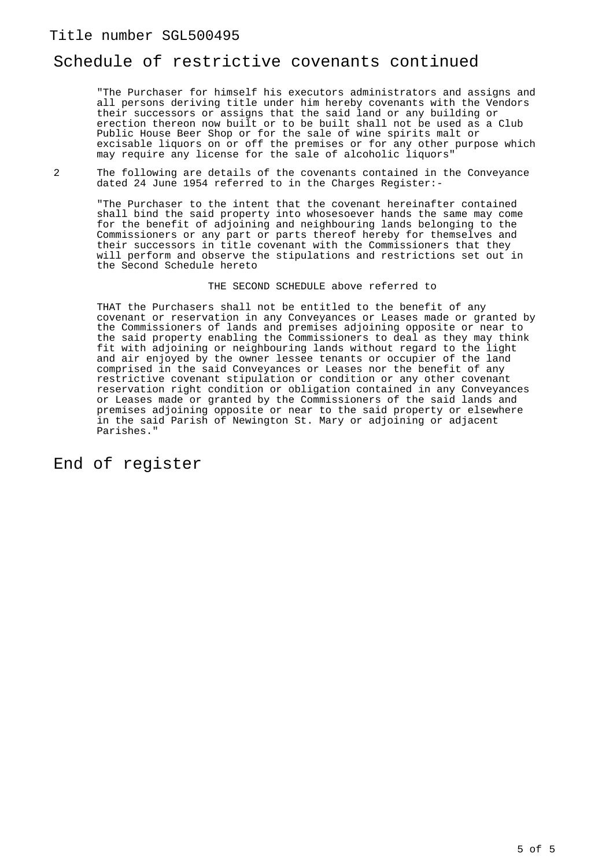### Schedule of restrictive covenants continued

"The Purchaser for himself his executors administrators and assigns and all persons deriving title under him hereby covenants with the Vendors their successors or assigns that the said land or any building or erection thereon now built or to be built shall not be used as a Club Public House Beer Shop or for the sale of wine spirits malt or excisable liquors on or off the premises or for any other purpose which may require any license for the sale of alcoholic liquors"

2 The following are details of the covenants contained in the Conveyance dated 24 June 1954 referred to in the Charges Register:-

"The Purchaser to the intent that the covenant hereinafter contained shall bind the said property into whosesoever hands the same may come for the benefit of adjoining and neighbouring lands belonging to the Commissioners or any part or parts thereof hereby for themselves and their successors in title covenant with the Commissioners that they will perform and observe the stipulations and restrictions set out in the Second Schedule hereto

#### THE SECOND SCHEDULE above referred to

THAT the Purchasers shall not be entitled to the benefit of any covenant or reservation in any Conveyances or Leases made or granted by the Commissioners of lands and premises adjoining opposite or near to the said property enabling the Commissioners to deal as they may think fit with adjoining or neighbouring lands without regard to the light and air enjoyed by the owner lessee tenants or occupier of the land comprised in the said Conveyances or Leases nor the benefit of any restrictive covenant stipulation or condition or any other covenant reservation right condition or obligation contained in any Conveyances or Leases made or granted by the Commissioners of the said lands and premises adjoining opposite or near to the said property or elsewhere in the said Parish of Newington St. Mary or adjoining or adjacent Parishes."

End of register